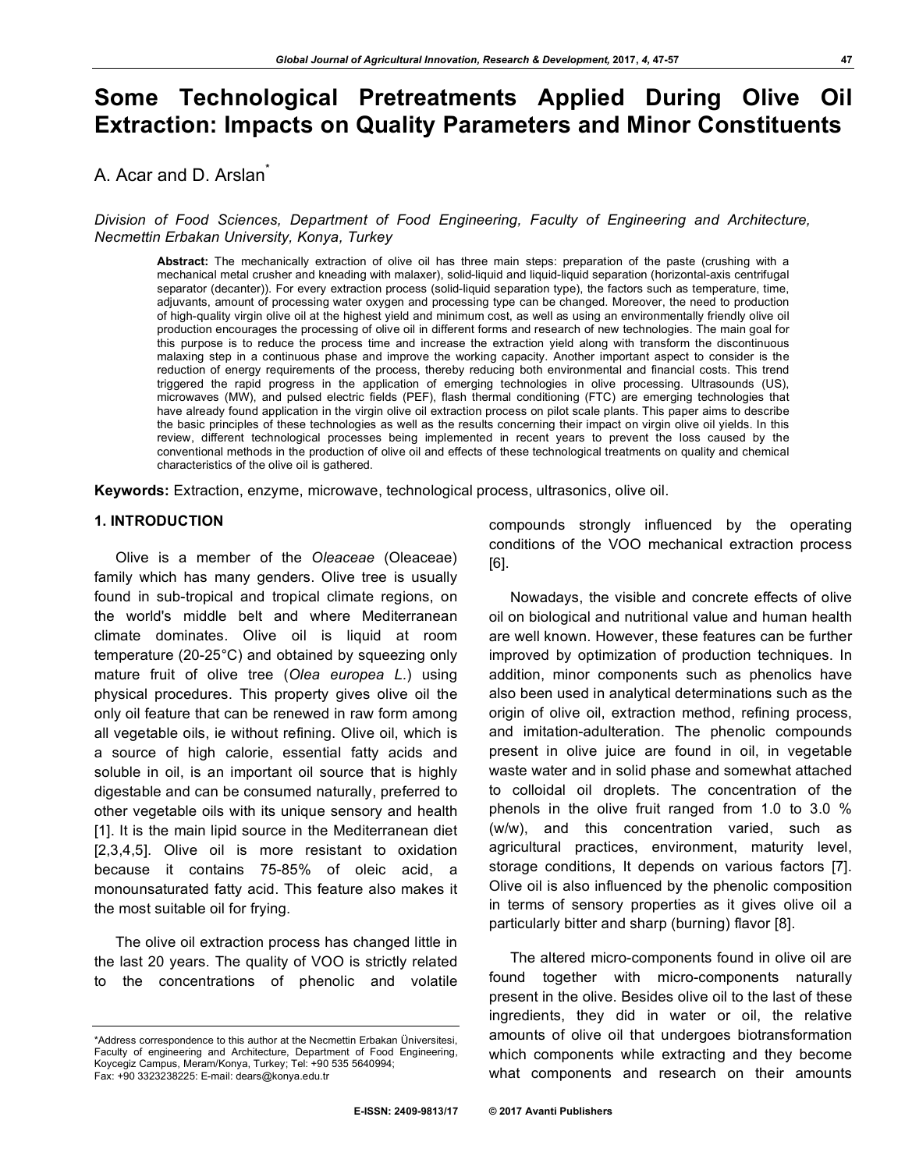# **Some Technological Pretreatments Applied During Olive Oil Extraction: Impacts on Quality Parameters and Minor Constituents**

A. Acar and D. Arslan<sup>\*</sup>

*Division of Food Sciences, Department of Food Engineering, Faculty of Engineering and Architecture, Necmettin Erbakan University, Konya, Turkey*

**Abstract:** The mechanically extraction of olive oil has three main steps: preparation of the paste (crushing with a mechanical metal crusher and kneading with malaxer), solid-liquid and liquid-liquid separation (horizontal-axis centrifugal separator (decanter)). For every extraction process (solid-liquid separation type), the factors such as temperature, time, adjuvants, amount of processing water oxygen and processing type can be changed. Moreover, the need to production of high-quality virgin olive oil at the highest yield and minimum cost, as well as using an environmentally friendly olive oil production encourages the processing of olive oil in different forms and research of new technologies. The main goal for this purpose is to reduce the process time and increase the extraction yield along with transform the discontinuous malaxing step in a continuous phase and improve the working capacity. Another important aspect to consider is the reduction of energy requirements of the process, thereby reducing both environmental and financial costs. This trend triggered the rapid progress in the application of emerging technologies in olive processing. Ultrasounds (US), microwaves (MW), and pulsed electric fields (PEF), flash thermal conditioning (FTC) are emerging technologies that have already found application in the virgin olive oil extraction process on pilot scale plants. This paper aims to describe the basic principles of these technologies as well as the results concerning their impact on virgin olive oil yields. In this review, different technological processes being implemented in recent years to prevent the loss caused by the conventional methods in the production of olive oil and effects of these technological treatments on quality and chemical characteristics of the olive oil is gathered.

**Keywords:** Extraction, enzyme, microwave, technological process, ultrasonics, olive oil.

## **1. INTRODUCTION**

Olive is a member of the *Oleaceae* (Oleaceae) family which has many genders. Olive tree is usually found in sub-tropical and tropical climate regions, on the world's middle belt and where Mediterranean climate dominates. Olive oil is liquid at room temperature (20-25°C) and obtained by squeezing only mature fruit of olive tree (*Olea europea L.*) using physical procedures. This property gives olive oil the only oil feature that can be renewed in raw form among all vegetable oils, ie without refining. Olive oil, which is a source of high calorie, essential fatty acids and soluble in oil, is an important oil source that is highly digestable and can be consumed naturally, preferred to other vegetable oils with its unique sensory and health [1]. It is the main lipid source in the Mediterranean diet [2,3,4,5]. Olive oil is more resistant to oxidation because it contains 75-85% of oleic acid, a monounsaturated fatty acid. This feature also makes it the most suitable oil for frying.

The olive oil extraction process has changed little in the last 20 years. The quality of VOO is strictly related to the concentrations of phenolic and volatile

compounds strongly influenced by the operating conditions of the VOO mechanical extraction process [6].

Nowadays, the visible and concrete effects of olive oil on biological and nutritional value and human health are well known. However, these features can be further improved by optimization of production techniques. In addition, minor components such as phenolics have also been used in analytical determinations such as the origin of olive oil, extraction method, refining process, and imitation-adulteration. The phenolic compounds present in olive juice are found in oil, in vegetable waste water and in solid phase and somewhat attached to colloidal oil droplets. The concentration of the phenols in the olive fruit ranged from 1.0 to 3.0 % (w/w), and this concentration varied, such as agricultural practices, environment, maturity level, storage conditions, It depends on various factors [7]. Olive oil is also influenced by the phenolic composition in terms of sensory properties as it gives olive oil a particularly bitter and sharp (burning) flavor [8].

The altered micro-components found in olive oil are found together with micro-components naturally present in the olive. Besides olive oil to the last of these ingredients, they did in water or oil, the relative amounts of olive oil that undergoes biotransformation which components while extracting and they become what components and research on their amounts

<sup>\*</sup>Address correspondence to this author at the Necmettin Erbakan Üniversitesi, Faculty of engineering and Architecture, Department of Food Engineering, Koycegiz Campus, Meram/Konya, Turkey; Tel: +90 535 5640994; Fax: +90 3323238225: E-mail: dears@konya.edu.tr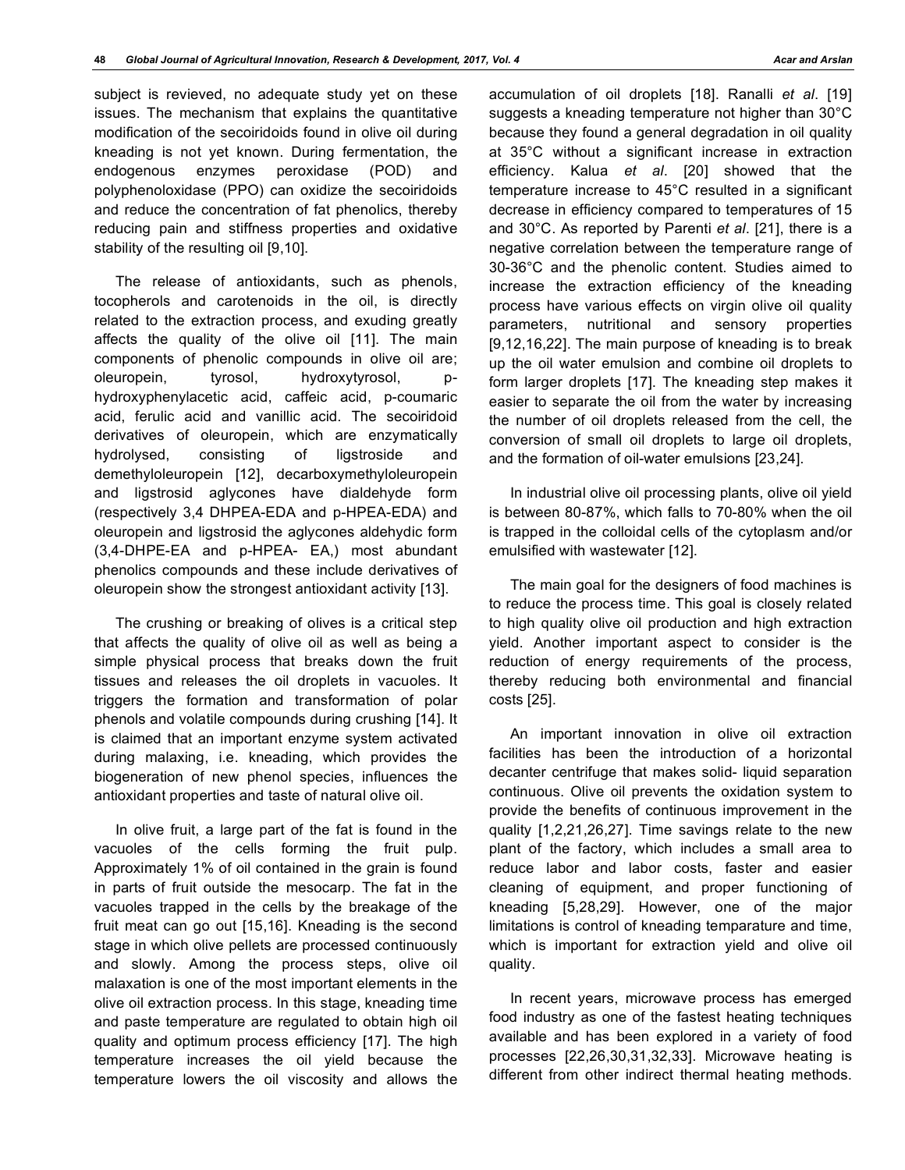subject is revieved, no adequate study yet on these issues. The mechanism that explains the quantitative modification of the secoiridoids found in olive oil during kneading is not yet known. During fermentation, the endogenous enzymes peroxidase (POD) and polyphenoloxidase (PPO) can oxidize the secoiridoids and reduce the concentration of fat phenolics, thereby reducing pain and stiffness properties and oxidative stability of the resulting oil [9,10].

The release of antioxidants, such as phenols, tocopherols and carotenoids in the oil, is directly related to the extraction process, and exuding greatly affects the quality of the olive oil [11]. The main components of phenolic compounds in olive oil are; oleuropein, tyrosol, hydroxytyrosol, phydroxyphenylacetic acid, caffeic acid, p-coumaric acid, ferulic acid and vanillic acid. The secoiridoid derivatives of oleuropein, which are enzymatically hydrolysed, consisting of ligstroside and demethyloleuropein [12], decarboxymethyloleuropein and ligstrosid aglycones have dialdehyde form (respectively 3,4 DHPEA-EDA and p-HPEA-EDA) and oleuropein and ligstrosid the aglycones aldehydic form (3,4-DHPE-EA and p-HPEA- EA,) most abundant phenolics compounds and these include derivatives of oleuropein show the strongest antioxidant activity [13].

The crushing or breaking of olives is a critical step that affects the quality of olive oil as well as being a simple physical process that breaks down the fruit tissues and releases the oil droplets in vacuoles. It triggers the formation and transformation of polar phenols and volatile compounds during crushing [14]. It is claimed that an important enzyme system activated during malaxing, i.e. kneading, which provides the biogeneration of new phenol species, influences the antioxidant properties and taste of natural olive oil.

In olive fruit, a large part of the fat is found in the vacuoles of the cells forming the fruit pulp. Approximately 1% of oil contained in the grain is found in parts of fruit outside the mesocarp. The fat in the vacuoles trapped in the cells by the breakage of the fruit meat can go out [15,16]. Kneading is the second stage in which olive pellets are processed continuously and slowly. Among the process steps, olive oil malaxation is one of the most important elements in the olive oil extraction process. In this stage, kneading time and paste temperature are regulated to obtain high oil quality and optimum process efficiency [17]. The high temperature increases the oil yield because the temperature lowers the oil viscosity and allows the

accumulation of oil droplets [18]. Ranalli *et al*. [19] suggests a kneading temperature not higher than 30°C because they found a general degradation in oil quality at 35°C without a significant increase in extraction efficiency. Kalua *et al*. [20] showed that the temperature increase to 45°C resulted in a significant decrease in efficiency compared to temperatures of 15 and 30°C. As reported by Parenti *et al*. [21], there is a negative correlation between the temperature range of 30-36°C and the phenolic content. Studies aimed to increase the extraction efficiency of the kneading process have various effects on virgin olive oil quality parameters, nutritional and sensory properties [9,12,16,22]. The main purpose of kneading is to break up the oil water emulsion and combine oil droplets to form larger droplets [17]. The kneading step makes it easier to separate the oil from the water by increasing the number of oil droplets released from the cell, the conversion of small oil droplets to large oil droplets, and the formation of oil-water emulsions [23,24].

In industrial olive oil processing plants, olive oil yield is between 80-87%, which falls to 70-80% when the oil is trapped in the colloidal cells of the cytoplasm and/or emulsified with wastewater [12].

The main goal for the designers of food machines is to reduce the process time. This goal is closely related to high quality olive oil production and high extraction yield. Another important aspect to consider is the reduction of energy requirements of the process, thereby reducing both environmental and financial costs [25].

An important innovation in olive oil extraction facilities has been the introduction of a horizontal decanter centrifuge that makes solid- liquid separation continuous. Olive oil prevents the oxidation system to provide the benefits of continuous improvement in the quality [1,2,21,26,27]. Time savings relate to the new plant of the factory, which includes a small area to reduce labor and labor costs, faster and easier cleaning of equipment, and proper functioning of kneading [5,28,29]. However, one of the major limitations is control of kneading temparature and time, which is important for extraction yield and olive oil quality.

In recent years, microwave process has emerged food industry as one of the fastest heating techniques available and has been explored in a variety of food processes [22,26,30,31,32,33]. Microwave heating is different from other indirect thermal heating methods.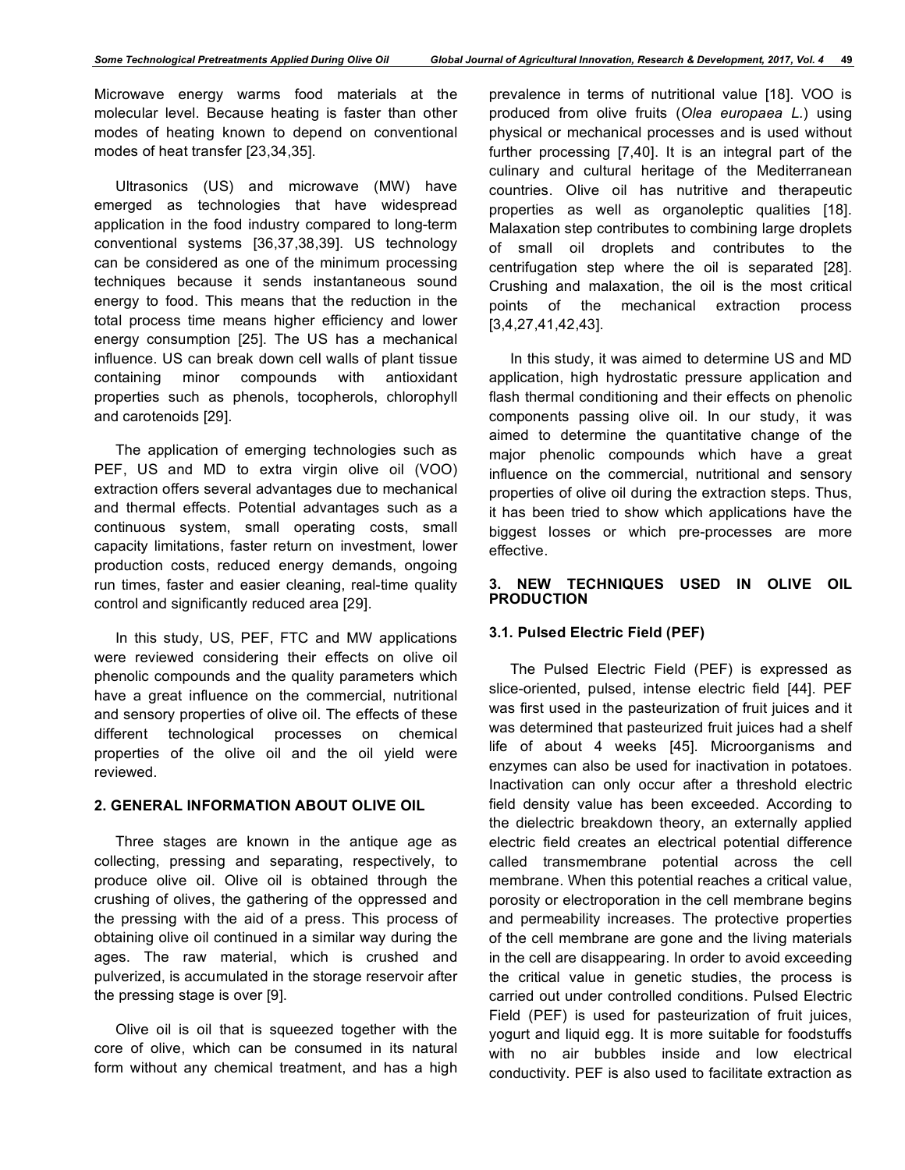*Some Technological Pretreatments Applied During Olive Oil Global Journal of Agricultural Innovation, Research & Development, 2017, Vol. 4* **49**

Microwave energy warms food materials at the molecular level. Because heating is faster than other modes of heating known to depend on conventional modes of heat transfer [23,34,35].

Ultrasonics (US) and microwave (MW) have emerged as technologies that have widespread application in the food industry compared to long-term conventional systems [36,37,38,39]. US technology can be considered as one of the minimum processing techniques because it sends instantaneous sound energy to food. This means that the reduction in the total process time means higher efficiency and lower energy consumption [25]. The US has a mechanical influence. US can break down cell walls of plant tissue containing minor compounds with antioxidant properties such as phenols, tocopherols, chlorophyll and carotenoids [29].

The application of emerging technologies such as PEF, US and MD to extra virgin olive oil (VOO) extraction offers several advantages due to mechanical and thermal effects. Potential advantages such as a continuous system, small operating costs, small capacity limitations, faster return on investment, lower production costs, reduced energy demands, ongoing run times, faster and easier cleaning, real-time quality control and significantly reduced area [29].

In this study, US, PEF, FTC and MW applications were reviewed considering their effects on olive oil phenolic compounds and the quality parameters which have a great influence on the commercial, nutritional and sensory properties of olive oil. The effects of these different technological processes on chemical properties of the olive oil and the oil yield were reviewed.

# **2. GENERAL INFORMATION ABOUT OLIVE OIL**

Three stages are known in the antique age as collecting, pressing and separating, respectively, to produce olive oil. Olive oil is obtained through the crushing of olives, the gathering of the oppressed and the pressing with the aid of a press. This process of obtaining olive oil continued in a similar way during the ages. The raw material, which is crushed and pulverized, is accumulated in the storage reservoir after the pressing stage is over [9].

Olive oil is oil that is squeezed together with the core of olive, which can be consumed in its natural form without any chemical treatment, and has a high prevalence in terms of nutritional value [18]. VOO is produced from olive fruits (*Olea europaea L.*) using physical or mechanical processes and is used without further processing [7,40]. It is an integral part of the culinary and cultural heritage of the Mediterranean countries. Olive oil has nutritive and therapeutic properties as well as organoleptic qualities [18]. Malaxation step contributes to combining large droplets of small oil droplets and contributes to the centrifugation step where the oil is separated [28]. Crushing and malaxation, the oil is the most critical points of the mechanical extraction process [3,4,27,41,42,43].

In this study, it was aimed to determine US and MD application, high hydrostatic pressure application and flash thermal conditioning and their effects on phenolic components passing olive oil. In our study, it was aimed to determine the quantitative change of the major phenolic compounds which have a great influence on the commercial, nutritional and sensory properties of olive oil during the extraction steps. Thus, it has been tried to show which applications have the biggest losses or which pre-processes are more effective.

## **3. NEW TECHNIQUES USED IN OLIVE OIL PRODUCTION**

## **3.1. Pulsed Electric Field (PEF)**

The Pulsed Electric Field (PEF) is expressed as slice-oriented, pulsed, intense electric field [44]. PEF was first used in the pasteurization of fruit juices and it was determined that pasteurized fruit juices had a shelf life of about 4 weeks [45]. Microorganisms and enzymes can also be used for inactivation in potatoes. Inactivation can only occur after a threshold electric field density value has been exceeded. According to the dielectric breakdown theory, an externally applied electric field creates an electrical potential difference called transmembrane potential across the cell membrane. When this potential reaches a critical value, porosity or electroporation in the cell membrane begins and permeability increases. The protective properties of the cell membrane are gone and the living materials in the cell are disappearing. In order to avoid exceeding the critical value in genetic studies, the process is carried out under controlled conditions. Pulsed Electric Field (PEF) is used for pasteurization of fruit juices, yogurt and liquid egg. It is more suitable for foodstuffs with no air bubbles inside and low electrical conductivity. PEF is also used to facilitate extraction as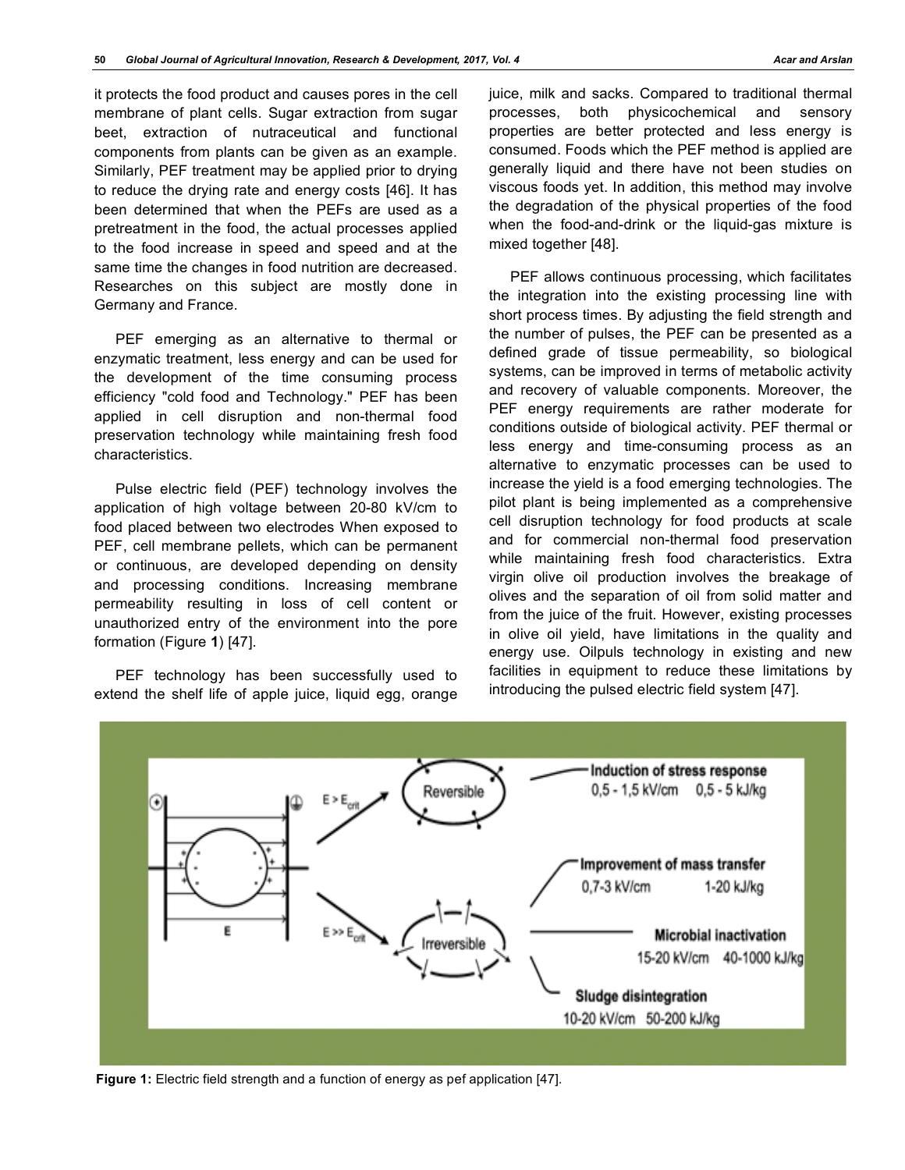it protects the food product and causes pores in the cell membrane of plant cells. Sugar extraction from sugar beet, extraction of nutraceutical and functional components from plants can be given as an example. Similarly, PEF treatment may be applied prior to drying to reduce the drying rate and energy costs [46]. It has been determined that when the PEFs are used as a pretreatment in the food, the actual processes applied to the food increase in speed and speed and at the same time the changes in food nutrition are decreased. Researches on this subject are mostly done in Germany and France.

PEF emerging as an alternative to thermal or enzymatic treatment, less energy and can be used for the development of the time consuming process efficiency "cold food and Technology." PEF has been applied in cell disruption and non-thermal food preservation technology while maintaining fresh food characteristics.

Pulse electric field (PEF) technology involves the application of high voltage between 20-80 kV/cm to food placed between two electrodes When exposed to PEF, cell membrane pellets, which can be permanent or continuous, are developed depending on density and processing conditions. Increasing membrane permeability resulting in loss of cell content or unauthorized entry of the environment into the pore formation (Figure **1**) [47].

PEF technology has been successfully used to extend the shelf life of apple juice, liquid egg, orange juice, milk and sacks. Compared to traditional thermal processes, both physicochemical and sensory properties are better protected and less energy is consumed. Foods which the PEF method is applied are generally liquid and there have not been studies on viscous foods yet. In addition, this method may involve the degradation of the physical properties of the food when the food-and-drink or the liquid-gas mixture is mixed together [48].

PEF allows continuous processing, which facilitates the integration into the existing processing line with short process times. By adjusting the field strength and the number of pulses, the PEF can be presented as a defined grade of tissue permeability, so biological systems, can be improved in terms of metabolic activity and recovery of valuable components. Moreover, the PEF energy requirements are rather moderate for conditions outside of biological activity. PEF thermal or less energy and time-consuming process as an alternative to enzymatic processes can be used to increase the yield is a food emerging technologies. The pilot plant is being implemented as a comprehensive cell disruption technology for food products at scale and for commercial non-thermal food preservation while maintaining fresh food characteristics. Extra virgin olive oil production involves the breakage of olives and the separation of oil from solid matter and from the juice of the fruit. However, existing processes in olive oil yield, have limitations in the quality and energy use. Oilpuls technology in existing and new facilities in equipment to reduce these limitations by introducing the pulsed electric field system [47].



**Figure 1:** Electric field strength and a function of energy as pef application [47].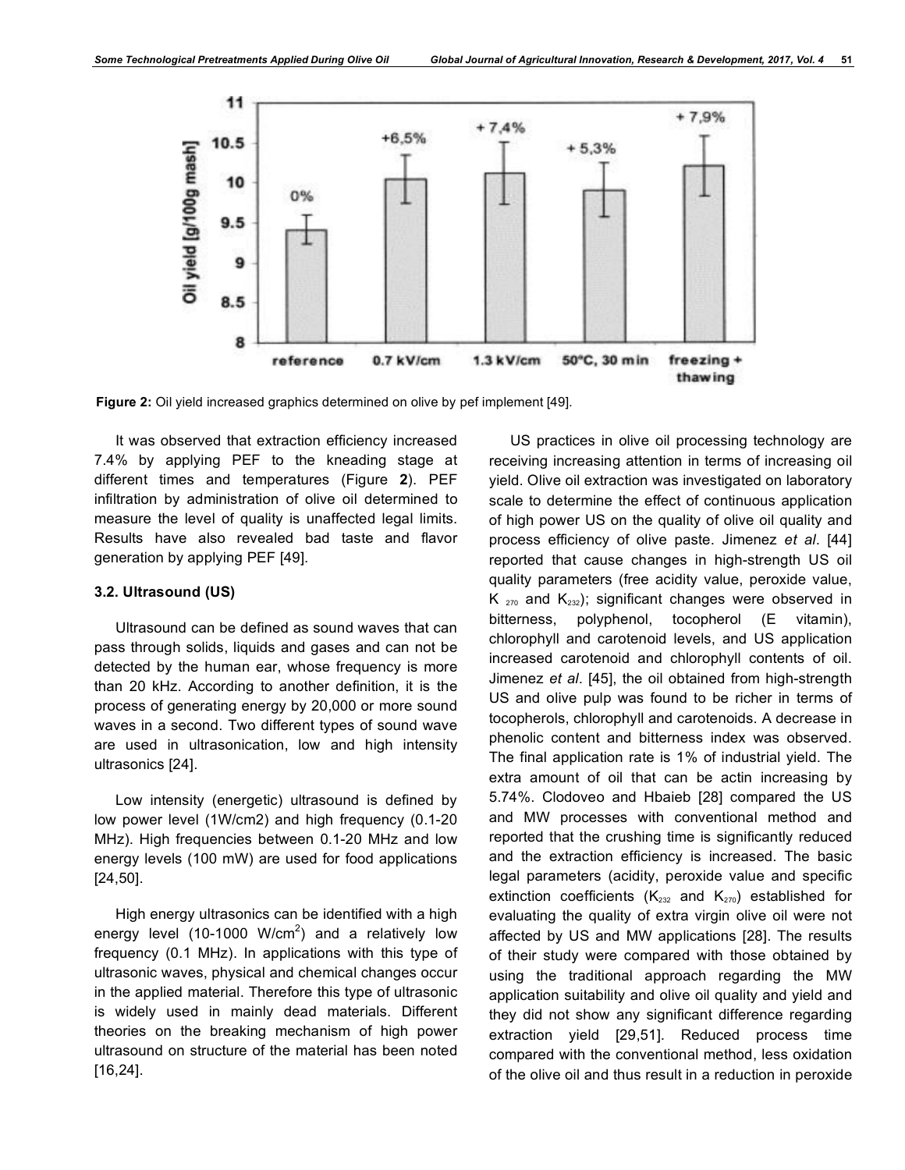

**Figure 2:** Oil yield increased graphics determined on olive by pef implement [49].

It was observed that extraction efficiency increased 7.4% by applying PEF to the kneading stage at different times and temperatures (Figure **2**). PEF infiltration by administration of olive oil determined to measure the level of quality is unaffected legal limits. Results have also revealed bad taste and flavor generation by applying PEF [49].

#### **3.2. Ultrasound (US)**

Ultrasound can be defined as sound waves that can pass through solids, liquids and gases and can not be detected by the human ear, whose frequency is more than 20 kHz. According to another definition, it is the process of generating energy by 20,000 or more sound waves in a second. Two different types of sound wave are used in ultrasonication, low and high intensity ultrasonics [24].

Low intensity (energetic) ultrasound is defined by low power level (1W/cm2) and high frequency (0.1-20 MHz). High frequencies between 0.1-20 MHz and low energy levels (100 mW) are used for food applications [24,50].

High energy ultrasonics can be identified with a high energy level (10-1000 W/cm<sup>2</sup>) and a relatively low frequency (0.1 MHz). In applications with this type of ultrasonic waves, physical and chemical changes occur in the applied material. Therefore this type of ultrasonic is widely used in mainly dead materials. Different theories on the breaking mechanism of high power ultrasound on structure of the material has been noted [16,24].

US practices in olive oil processing technology are receiving increasing attention in terms of increasing oil yield. Olive oil extraction was investigated on laboratory scale to determine the effect of continuous application of high power US on the quality of olive oil quality and process efficiency of olive paste. Jimenez *et al*. [44] reported that cause changes in high-strength US oil quality parameters (free acidity value, peroxide value,  $K_{270}$  and  $K_{232}$ ); significant changes were observed in bitterness, polyphenol, tocopherol (E vitamin), chlorophyll and carotenoid levels, and US application increased carotenoid and chlorophyll contents of oil. Jimenez *et al*. [45], the oil obtained from high-strength US and olive pulp was found to be richer in terms of tocopherols, chlorophyll and carotenoids. A decrease in phenolic content and bitterness index was observed. The final application rate is 1% of industrial yield. The extra amount of oil that can be actin increasing by 5.74%. Clodoveo and Hbaieb [28] compared the US and MW processes with conventional method and reported that the crushing time is significantly reduced and the extraction efficiency is increased. The basic legal parameters (acidity, peroxide value and specific extinction coefficients ( $K_{232}$  and  $K_{270}$ ) established for evaluating the quality of extra virgin olive oil were not affected by US and MW applications [28]. The results of their study were compared with those obtained by using the traditional approach regarding the MW application suitability and olive oil quality and yield and they did not show any significant difference regarding extraction yield [29,51]. Reduced process time compared with the conventional method, less oxidation of the olive oil and thus result in a reduction in peroxide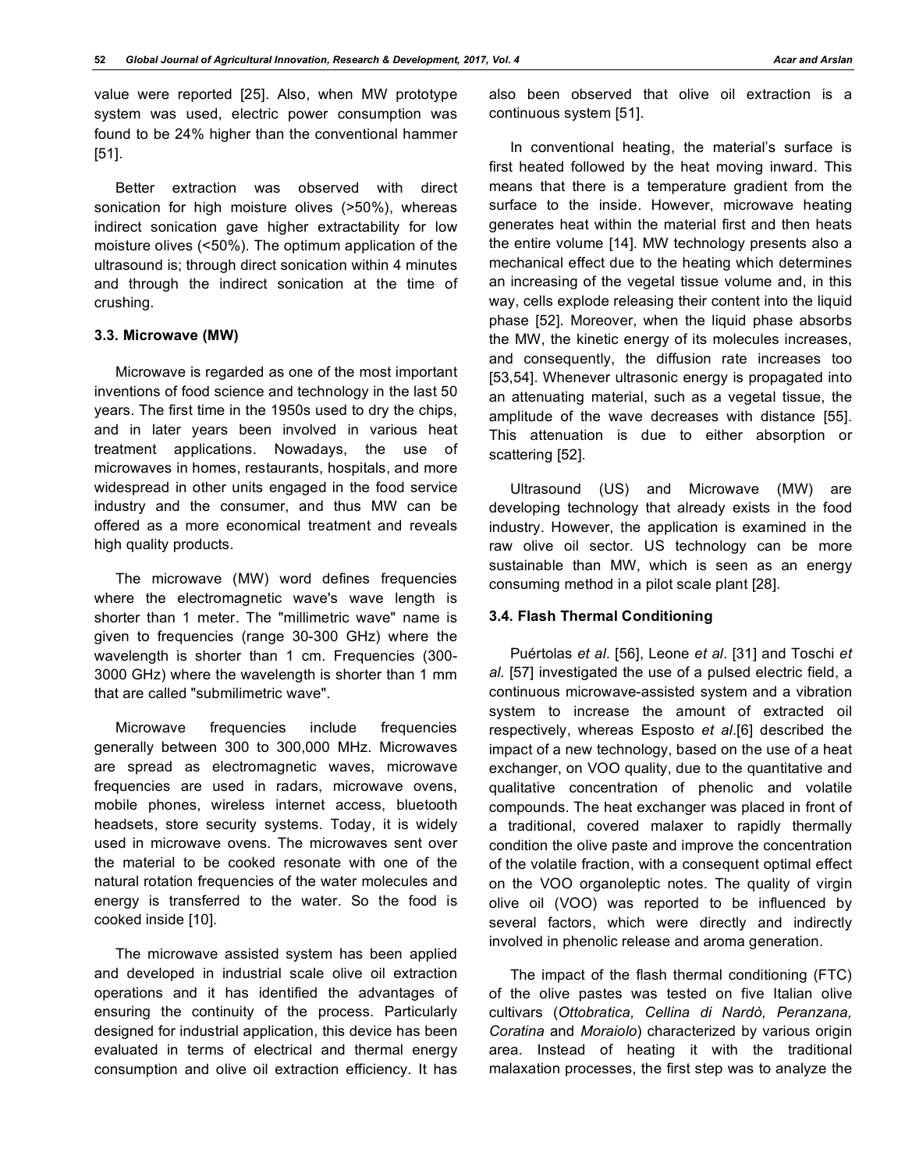value were reported [25]. Also, when MW prototype system was used, electric power consumption was found to be 24% higher than the conventional hammer [51].

Better extraction was observed with direct sonication for high moisture olives (>50%), whereas indirect sonication gave higher extractability for low moisture olives (<50%). The optimum application of the ultrasound is; through direct sonication within 4 minutes and through the indirect sonication at the time of crushing.

#### **3.3. Microwave (MW)**

Microwave is regarded as one of the most important inventions of food science and technology in the last 50 years. The first time in the 1950s used to dry the chips, and in later years been involved in various heat treatment applications. Nowadays, the use of microwaves in homes, restaurants, hospitals, and more widespread in other units engaged in the food service industry and the consumer, and thus MW can be offered as a more economical treatment and reveals high quality products.

The microwave (MW) word defines frequencies where the electromagnetic wave's wave length is shorter than 1 meter. The "millimetric wave" name is given to frequencies (range 30-300 GHz) where the wavelength is shorter than 1 cm. Frequencies (300- 3000 GHz) where the wavelength is shorter than 1 mm that are called "submilimetric wave".

Microwave frequencies include frequencies generally between 300 to 300,000 MHz. Microwaves are spread as electromagnetic waves, microwave frequencies are used in radars, microwave ovens, mobile phones, wireless internet access, bluetooth headsets, store security systems. Today, it is widely used in microwave ovens. The microwaves sent over the material to be cooked resonate with one of the natural rotation frequencies of the water molecules and energy is transferred to the water. So the food is cooked inside [10].

The microwave assisted system has been applied and developed in industrial scale olive oil extraction operations and it has identified the advantages of ensuring the continuity of the process. Particularly designed for industrial application, this device has been evaluated in terms of electrical and thermal energy consumption and olive oil extraction efficiency. It has

also been observed that olive oil extraction is a continuous system [51].

In conventional heating, the material's surface is first heated followed by the heat moving inward. This means that there is a temperature gradient from the surface to the inside. However, microwave heating generates heat within the material first and then heats the entire volume [14]. MW technology presents also a mechanical effect due to the heating which determines an increasing of the vegetal tissue volume and, in this way, cells explode releasing their content into the liquid phase [52]. Moreover, when the liquid phase absorbs the MW, the kinetic energy of its molecules increases, and consequently, the diffusion rate increases too [53,54]. Whenever ultrasonic energy is propagated into an attenuating material, such as a vegetal tissue, the amplitude of the wave decreases with distance [55]. This attenuation is due to either absorption or scattering [52].

Ultrasound (US) and Microwave (MW) are developing technology that already exists in the food industry. However, the application is examined in the raw olive oil sector. US technology can be more sustainable than MW, which is seen as an energy consuming method in a pilot scale plant [28].

## **3.4. Flash Thermal Conditioning**

Puértolas *et al*. [56], Leone *et al*. [31] and Toschi *et al*. [57] investigated the use of a pulsed electric field, a continuous microwave-assisted system and a vibration system to increase the amount of extracted oil respectively, whereas Esposto *et al*.[6] described the impact of a new technology, based on the use of a heat exchanger, on VOO quality, due to the quantitative and qualitative concentration of phenolic and volatile compounds. The heat exchanger was placed in front of a traditional, covered malaxer to rapidly thermally condition the olive paste and improve the concentration of the volatile fraction, with a consequent optimal effect on the VOO organoleptic notes. The quality of virgin olive oil (VOO) was reported to be influenced by several factors, which were directly and indirectly involved in phenolic release and aroma generation.

The impact of the flash thermal conditioning (FTC) of the olive pastes was tested on five Italian olive cultivars (*Ottobratica, Cellina di Nardò, Peranzana, Coratina* and *Moraiolo*) characterized by various origin area. Instead of heating it with the traditional malaxation processes, the first step was to analyze the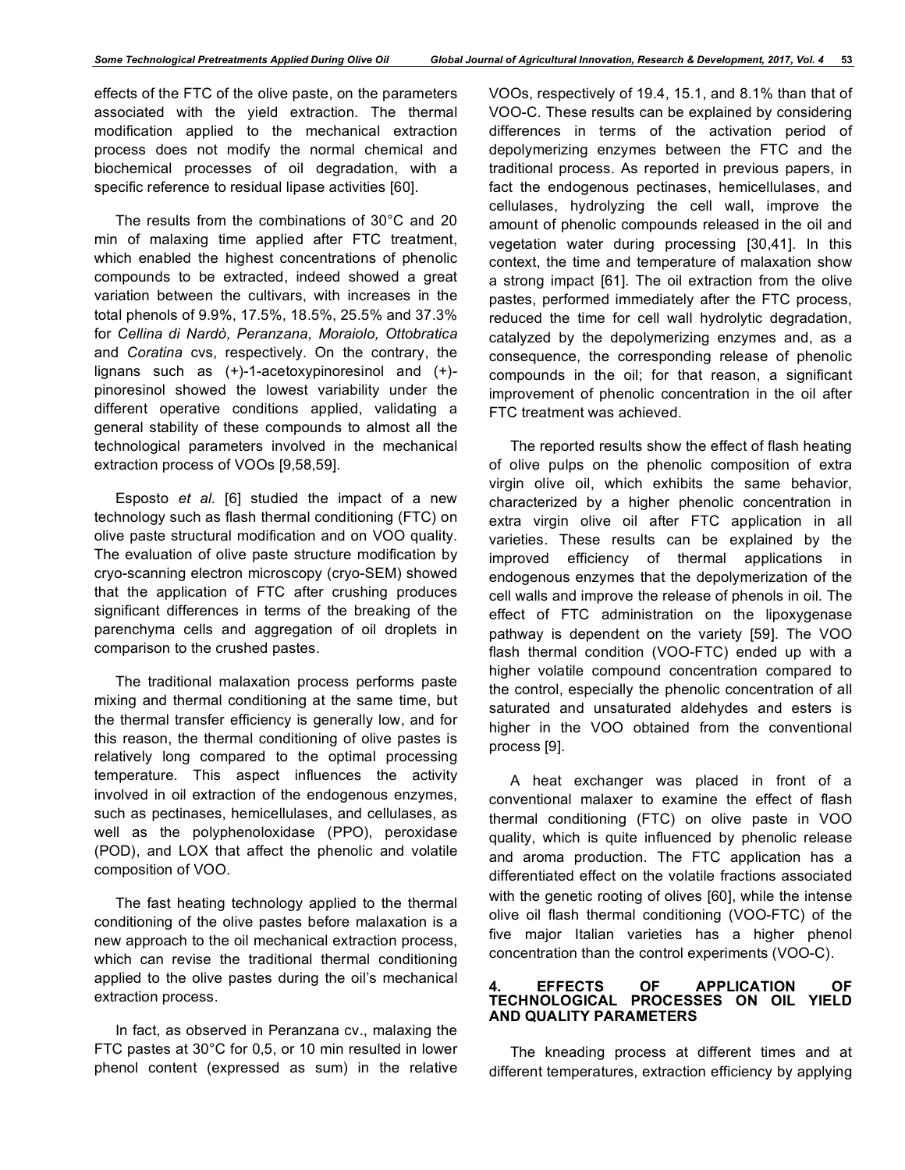effects of the FTC of the olive paste, on the parameters associated with the yield extraction. The thermal modification applied to the mechanical extraction process does not modify the normal chemical and biochemical processes of oil degradation, with a specific reference to residual lipase activities [60].

The results from the combinations of 30°C and 20 min of malaxing time applied after FTC treatment, which enabled the highest concentrations of phenolic compounds to be extracted, indeed showed a great variation between the cultivars, with increases in the total phenols of 9.9%, 17.5%, 18.5%, 25.5% and 37.3% for *Cellina di Nardò, Peranzana, Moraiolo, Ottobratica*  and *Coratina* cvs, respectively. On the contrary, the lignans such as (+)-1-acetoxypinoresinol and (+) pinoresinol showed the lowest variability under the different operative conditions applied, validating a general stability of these compounds to almost all the technological parameters involved in the mechanical extraction process of VOOs [9,58,59].

Esposto *et al*. [6] studied the impact of a new technology such as flash thermal conditioning (FTC) on olive paste structural modification and on VOO quality. The evaluation of olive paste structure modification by cryo-scanning electron microscopy (cryo-SEM) showed that the application of FTC after crushing produces significant differences in terms of the breaking of the parenchyma cells and aggregation of oil droplets in comparison to the crushed pastes.

The traditional malaxation process performs paste mixing and thermal conditioning at the same time, but the thermal transfer efficiency is generally low, and for this reason, the thermal conditioning of olive pastes is relatively long compared to the optimal processing temperature. This aspect influences the activity involved in oil extraction of the endogenous enzymes, such as pectinases, hemicellulases, and cellulases, as well as the polyphenoloxidase (PPO), peroxidase (POD), and LOX that affect the phenolic and volatile composition of VOO.

The fast heating technology applied to the thermal conditioning of the olive pastes before malaxation is a new approach to the oil mechanical extraction process, which can revise the traditional thermal conditioning applied to the olive pastes during the oil's mechanical extraction process.

In fact, as observed in Peranzana cv., malaxing the FTC pastes at 30°C for 0,5, or 10 min resulted in lower phenol content (expressed as sum) in the relative

VOOs, respectively of 19.4, 15.1, and 8.1% than that of VOO-C. These results can be explained by considering differences in terms of the activation period of depolymerizing enzymes between the FTC and the traditional process. As reported in previous papers, in fact the endogenous pectinases, hemicellulases, and cellulases, hydrolyzing the cell wall, improve the amount of phenolic compounds released in the oil and vegetation water during processing [30,41]. In this context, the time and temperature of malaxation show a strong impact [61]. The oil extraction from the olive pastes, performed immediately after the FTC process, reduced the time for cell wall hydrolytic degradation, catalyzed by the depolymerizing enzymes and, as a consequence, the corresponding release of phenolic compounds in the oil; for that reason, a significant improvement of phenolic concentration in the oil after FTC treatment was achieved.

The reported results show the effect of flash heating of olive pulps on the phenolic composition of extra virgin olive oil, which exhibits the same behavior, characterized by a higher phenolic concentration in extra virgin olive oil after FTC application in all varieties. These results can be explained by the improved efficiency of thermal applications in endogenous enzymes that the depolymerization of the cell walls and improve the release of phenols in oil. The effect of FTC administration on the lipoxygenase pathway is dependent on the variety [59]. The VOO flash thermal condition (VOO-FTC) ended up with a higher volatile compound concentration compared to the control, especially the phenolic concentration of all saturated and unsaturated aldehydes and esters is higher in the VOO obtained from the conventional process [9].

A heat exchanger was placed in front of a conventional malaxer to examine the effect of flash thermal conditioning (FTC) on olive paste in VOO quality, which is quite influenced by phenolic release and aroma production. The FTC application has a differentiated effect on the volatile fractions associated with the genetic rooting of olives [60], while the intense olive oil flash thermal conditioning (VOO-FTC) of the five major Italian varieties has a higher phenol concentration than the control experiments (VOO-C).

#### **4. EFFECTS OF APPLICATION OF TECHNOLOGICAL PROCESSES ON OIL YIELD AND QUALITY PARAMETERS**

The kneading process at different times and at different temperatures, extraction efficiency by applying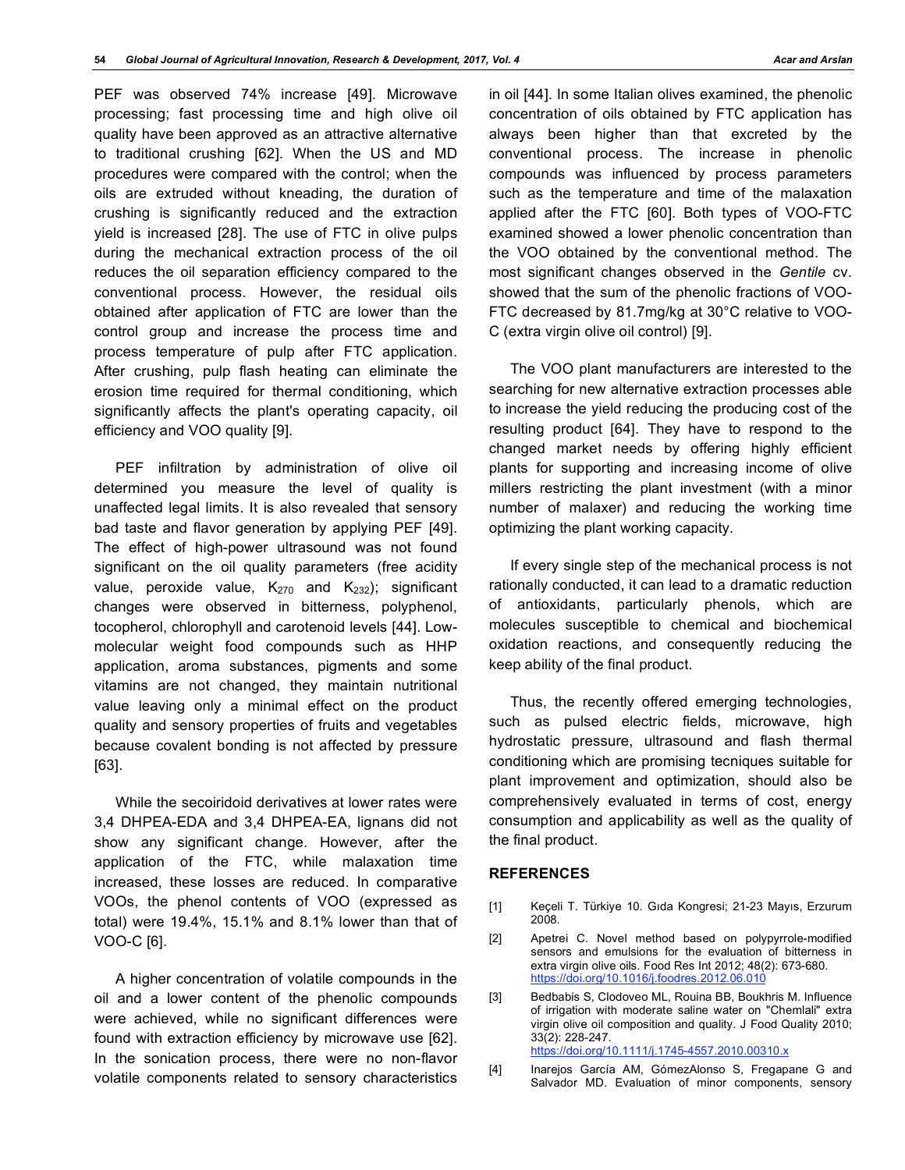PEF was observed 74% increase [49]. Microwave processing; fast processing time and high olive oil quality have been approved as an attractive alternative to traditional crushing [62]. When the US and MD procedures were compared with the control; when the oils are extruded without kneading, the duration of crushing is significantly reduced and the extraction yield is increased [28]. The use of FTC in olive pulps during the mechanical extraction process of the oil reduces the oil separation efficiency compared to the conventional process. However, the residual oils obtained after application of FTC are lower than the control group and increase the process time and process temperature of pulp after FTC application. After crushing, pulp flash heating can eliminate the erosion time required for thermal conditioning, which significantly affects the plant's operating capacity, oil efficiency and VOO quality [9].

PEF infiltration by administration of olive oil determined you measure the level of quality is unaffected legal limits. It is also revealed that sensory bad taste and flavor generation by applying PEF [49]. The effect of high-power ultrasound was not found significant on the oil quality parameters (free acidity value, peroxide value,  $K_{270}$  and  $K_{232}$ ); significant changes were observed in bitterness, polyphenol, tocopherol, chlorophyll and carotenoid levels [44]. Lowmolecular weight food compounds such as HHP application, aroma substances, pigments and some vitamins are not changed, they maintain nutritional value leaving only a minimal effect on the product quality and sensory properties of fruits and vegetables because covalent bonding is not affected by pressure [63].

While the secoiridoid derivatives at lower rates were 3,4 DHPEA-EDA and 3,4 DHPEA-EA, lignans did not show any significant change. However, after the application of the FTC, while malaxation time increased, these losses are reduced. In comparative VOOs, the phenol contents of VOO (expressed as total) were 19.4%, 15.1% and 8.1% lower than that of VOO-C [6].

A higher concentration of volatile compounds in the oil and a lower content of the phenolic compounds were achieved, while no significant differences were found with extraction efficiency by microwave use [62]. In the sonication process, there were no non-flavor volatile components related to sensory characteristics

in oil [44]. In some Italian olives examined, the phenolic concentration of oils obtained by FTC application has always been higher than that excreted by the conventional process. The increase in phenolic compounds was influenced by process parameters such as the temperature and time of the malaxation applied after the FTC [60]. Both types of VOO-FTC examined showed a lower phenolic concentration than the VOO obtained by the conventional method. The most significant changes observed in the *Gentile* cv. showed that the sum of the phenolic fractions of VOO-FTC decreased by 81.7mg/kg at 30°C relative to VOO-C (extra virgin olive oil control) [9].

The VOO plant manufacturers are interested to the searching for new alternative extraction processes able to increase the yield reducing the producing cost of the resulting product [64]. They have to respond to the changed market needs by offering highly efficient plants for supporting and increasing income of olive millers restricting the plant investment (with a minor number of malaxer) and reducing the working time optimizing the plant working capacity.

If every single step of the mechanical process is not rationally conducted, it can lead to a dramatic reduction of antioxidants, particularly phenols, which are molecules susceptible to chemical and biochemical oxidation reactions, and consequently reducing the keep ability of the final product.

Thus, the recently offered emerging technologies, such as pulsed electric fields, microwave, high hydrostatic pressure, ultrasound and flash thermal conditioning which are promising tecniques suitable for plant improvement and optimization, should also be comprehensively evaluated in terms of cost, energy consumption and applicability as well as the quality of the final product.

## **REFERENCES**

- [1] Keçeli T. Türkiye 10. Gıda Kongresi; 21-23 Mayıs, Erzurum 2008.
- [2] Apetrei C. Novel method based on polypyrrole-modified sensors and emulsions for the evaluation of bitterness in extra virgin olive oils. Food Res Int 2012; 48(2): 673-680. https://doi.org/10.1016/j.foodres.2012.06.010
- [3] Bedbabis S, Clodoveo ML, Rouina BB, Boukhris M. Influence of irrigation with moderate saline water on "Chemlali" extra virgin olive oil composition and quality. J Food Quality 2010; 33(2): 228-247. https://doi.org/10.1111/j.1745-4557.2010.00310.x
- [4] Inarejos García AM, GómezAlonso S, Fregapane G and Salvador MD. Evaluation of minor components, sensory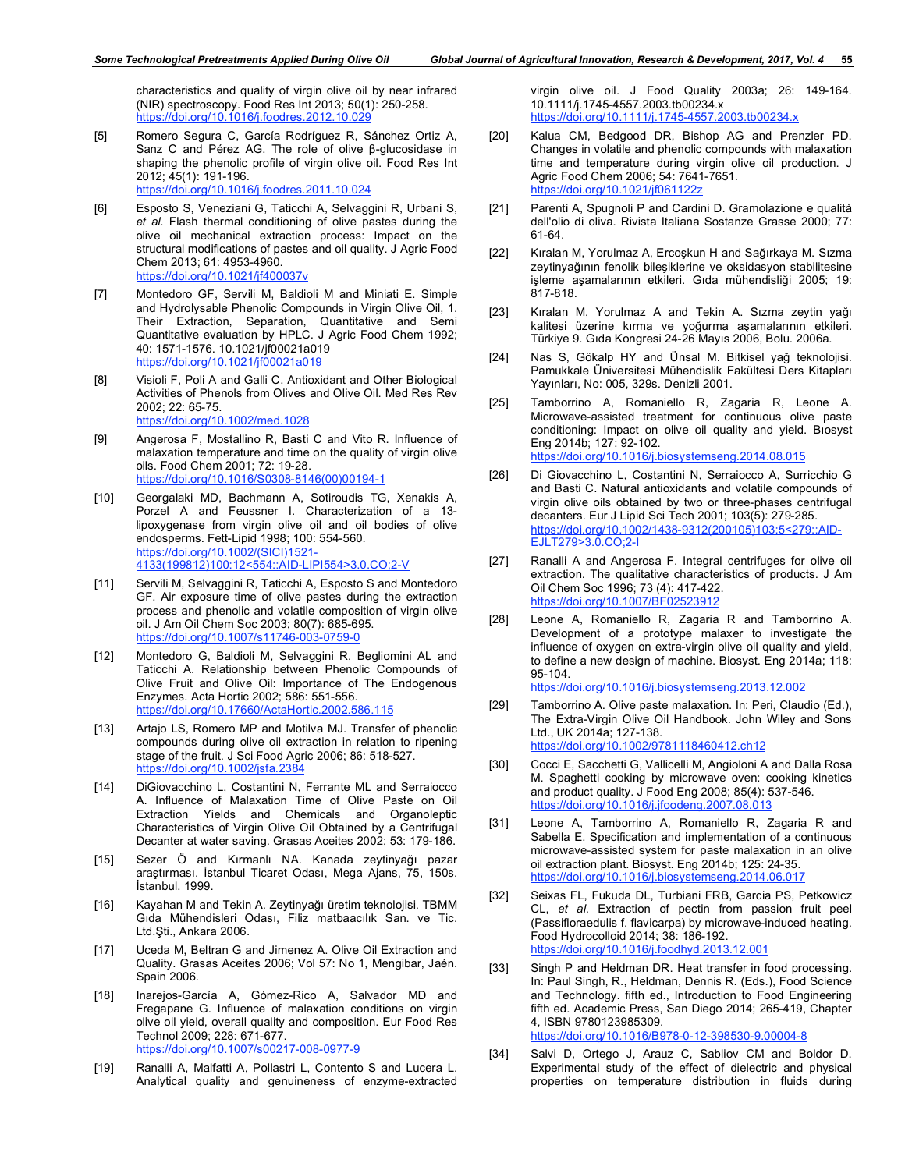characteristics and quality of virgin olive oil by near infrared (NIR) spectroscopy. Food Res Int 2013; 50(1): 250-258. https://doi.org/10.1016/j.foodres.2012.10.029

- [5] Romero Segura C, García Rodríguez R, Sánchez Ortiz A, Sanz C and Pérez AG. The role of olive β-glucosidase in shaping the phenolic profile of virgin olive oil. Food Res Int 2012; 45(1): 191-196. https://doi.org/10.1016/j.foodres.2011.10.024
- [6] Esposto S, Veneziani G, Taticchi A, Selvaggini R, Urbani S, *et al*. Flash thermal conditioning of olive pastes during the olive oil mechanical extraction process: Impact on the structural modifications of pastes and oil quality. J Agric Food Chem 2013; 61: 4953-4960. https://doi.org/10.1021/jf400037v
- [7] Montedoro GF, Servili M, Baldioli M and Miniati E. Simple and Hydrolysable Phenolic Compounds in Virgin Olive Oil, 1. Their Extraction, Separation, Quantitative and Semi Quantitative evaluation by HPLC. J Agric Food Chem 1992; 40: 1571-1576. 10.1021/jf00021a019 https://doi.org/10.1021/jf00021a019
- [8] Visioli F, Poli A and Galli C. Antioxidant and Other Biological Activities of Phenols from Olives and Olive Oil. Med Res Rev 2002; 22: 65-75. https://doi.org/10.1002/med.1028
- [9] Angerosa F, Mostallino R, Basti C and Vito R. Influence of malaxation temperature and time on the quality of virgin olive oils. Food Chem 2001; 72: 19-28. https://doi.org/10.1016/S0308-8146(00)00194-1
- [10] Georgalaki MD, Bachmann A, Sotiroudis TG, Xenakis A, Porzel A and Feussner I. Characterization of a 13 lipoxygenase from virgin olive oil and oil bodies of olive endosperms. Fett-Lipid 1998; 100: 554-560. https://doi.org/10.1002/(SICI)1521- 4133(199812)100:12<554::AID-LIPI554>3.0.CO;2-V
- [11] Servili M, Selvaggini R, Taticchi A, Esposto S and Montedoro GF. Air exposure time of olive pastes during the extraction process and phenolic and volatile composition of virgin olive oil. J Am Oil Chem Soc 2003; 80(7): 685-695. https://doi.org/10.1007/s11746-003-0759-0
- [12] Montedoro G, Baldioli M, Selvaggini R, Begliomini AL and Taticchi A. Relationship between Phenolic Compounds of Olive Fruit and Olive Oil: Importance of The Endogenous Enzymes. Acta Hortic 2002; 586: 551-556. https://doi.org/10.17660/ActaHortic.2002.586.115
- [13] Artajo LS, Romero MP and Motilva MJ. Transfer of phenolic compounds during olive oil extraction in relation to ripening stage of the fruit. J Sci Food Agric 2006; 86: 518-527. https://doi.org/10.1002/jsfa.2384
- [14] DiGiovacchino L, Costantini N, Ferrante ML and Serraiocco A. Influence of Malaxation Time of Olive Paste on Oil Extraction Yields and Chemicals and Organoleptic Characteristics of Virgin Olive Oil Obtained by a Centrifugal Decanter at water saving. Grasas Aceites 2002; 53: 179-186.
- [15] Sezer Ö and Kırmanlı NA. Kanada zeytinyağı pazar araştırması. İstanbul Ticaret Odası, Mega Ajans, 75, 150s. İstanbul. 1999.
- [16] Kayahan M and Tekin A. Zeytinyağı üretim teknolojisi. TBMM Gıda Mühendisleri Odası, Filiz matbaacılık San. ve Tic. Ltd.Şti., Ankara 2006.
- [17] Uceda M, Beltran G and Jimenez A. Olive Oil Extraction and Quality. Grasas Aceites 2006; Vol 57: No 1, Mengibar, Jaén. Spain 2006.
- [18] Inarejos-García A, Gómez-Rico A, Salvador MD and Fregapane G. Influence of malaxation conditions on virgin olive oil yield, overall quality and composition. Eur Food Res Technol 2009; 228: 671-677. https://doi.org/10.1007/s00217-008-0977-9
- [19] Ranalli A, Malfatti A, Pollastri L, Contento S and Lucera L. Analytical quality and genuineness of enzyme-extracted

virgin olive oil. J Food Quality 2003a; 26: 149-164. 10.1111/j.1745-4557.2003.tb00234.x https://doi.org/10.1111/j.1745-4557.2003.tb00234.x

- [20] Kalua CM, Bedgood DR, Bishop AG and Prenzler PD. Changes in volatile and phenolic compounds with malaxation time and temperature during virgin olive oil production. J Agric Food Chem 2006; 54: 7641-7651. https://doi.org/10.1021/jf061122z
- [21] Parenti A, Spugnoli P and Cardini D. Gramolazione e qualità dell'olio di oliva. Rivista Italiana Sostanze Grasse 2000; 77: 61-64.
- [22] Kıralan M, Yorulmaz A, Ercoşkun H and Sağırkaya M. Sızma zeytinyağının fenolik bileşiklerine ve oksidasyon stabilitesine işleme aşamalarının etkileri. Gıda mühendisliği 2005; 19: 817-818.
- [23] Kıralan M, Yorulmaz A and Tekin A. Sızma zeytin yağı kalitesi üzerine kırma ve yoğurma aşamalarının etkileri. Türkiye 9. Gıda Kongresi 24-26 Mayıs 2006, Bolu. 2006a.
- [24] Nas S, Gökalp HY and Ünsal M. Bitkisel yağ teknolojisi. Pamukkale Üniversitesi Mühendislik Fakültesi Ders Kitapları Yayınları, No: 005, 329s. Denizli 2001.
- [25] Tamborrino A, Romaniello R, Zagaria R, Leone A. Microwave-assisted treatment for continuous olive paste conditioning: Impact on olive oil quality and yield. Bıosyst Eng 2014b; 127: 92-102. https://doi.org/10.1016/j.biosystemseng.2014.08.015
- [26] Di Giovacchino L, Costantini N, Serraiocco A, Surricchio G and Basti C. Natural antioxidants and volatile compounds of virgin olive oils obtained by two or three-phases centrifugal decanters. Eur J Lipid Sci Tech 2001; 103(5): 279-285. https://doi.org/10.1002/1438-9312(200105)103:5<279::AID-EJLT279>3.0.CO;2-I
- [27] Ranalli A and Angerosa F. Integral centrifuges for olive oil extraction. The qualitative characteristics of products. J Am Oil Chem Soc 1996; 73 (4): 417-422. https://doi.org/10.1007/BF02523912
- [28] Leone A, Romaniello R, Zagaria R and Tamborrino A. Development of a prototype malaxer to investigate the influence of oxygen on extra-virgin olive oil quality and yield, to define a new design of machine. Biosyst. Eng 2014a; 118: 95-104.

https://doi.org/10.1016/j.biosystemseng.2013.12.002

- [29] Tamborrino A. Olive paste malaxation. In: Peri, Claudio (Ed.), The Extra-Virgin Olive Oil Handbook. John Wiley and Sons Ltd., UK 2014a; 127-138. https://doi.org/10.1002/9781118460412.ch12
- [30] Cocci E, Sacchetti G, Vallicelli M, Angioloni A and Dalla Rosa M. Spaghetti cooking by microwave oven: cooking kinetics and product quality. J Food Eng 2008; 85(4): 537-546. https://doi.org/10.1016/j.jfoodeng.2007.08.013
- [31] Leone A, Tamborrino A, Romaniello R, Zagaria R and Sabella E. Specification and implementation of a continuous microwave-assisted system for paste malaxation in an olive oil extraction plant. Biosyst. Eng 2014b; 125: 24-35. https://doi.org/10.1016/j.biosystemseng.2014.06.017
- [32] Seixas FL, Fukuda DL, Turbiani FRB, Garcia PS, Petkowicz CL, *et al*. Extraction of pectin from passion fruit peel (Passifloraedulis f. flavicarpa) by microwave-induced heating. Food Hydrocolloid 2014; 38: 186-192. https://doi.org/10.1016/j.foodhyd.2013.12.001
- [33] Singh P and Heldman DR. Heat transfer in food processing. In: Paul Singh, R., Heldman, Dennis R. (Eds.), Food Science and Technology. fifth ed., Introduction to Food Engineering fifth ed. Academic Press, San Diego 2014; 265-419, Chapter 4, ISBN 9780123985309. https://doi.org/10.1016/B978-0-12-398530-9.00004-8
- [34] Salvi D, Ortego J, Arauz C, Sabliov CM and Boldor D. Experimental study of the effect of dielectric and physical properties on temperature distribution in fluids during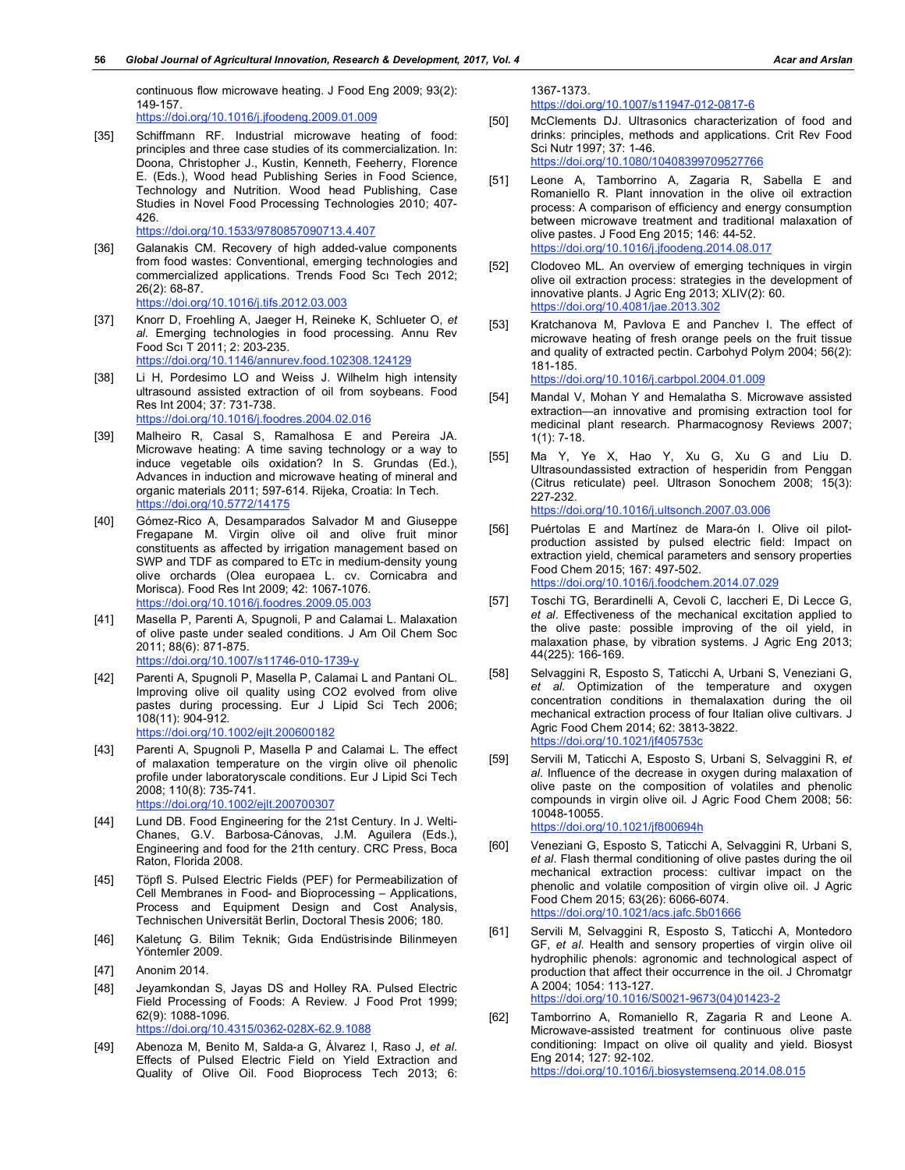continuous flow microwave heating. J Food Eng 2009; 93(2): 149-157. https://doi.org/10.1016/j.jfoodeng.2009.01.009

- [35] Schiffmann RF. Industrial microwave heating of food: principles and three case studies of its commercialization. In: Doona, Christopher J., Kustin, Kenneth, Feeherry, Florence E. (Eds.), Wood head Publishing Series in Food Science, Technology and Nutrition. Wood head Publishing, Case
	- Studies in Novel Food Processing Technologies 2010; 407- 426. https://doi.org/10.1533/9780857090713.4.407
- [36] Galanakis CM. Recovery of high added-value components from food wastes: Conventional, emerging technologies and commercialized applications. Trends Food Scı Tech 2012; 26(2): 68-87. https://doi.org/10.1016/j.tifs.2012.03.003
- [37] Knorr D, Froehling A, Jaeger H, Reineke K, Schlueter O, *et al*. Emerging technologies in food processing. Annu Rev Food Scı T 2011; 2: 203-235. https://doi.org/10.1146/annurev.food.102308.124129
- [38] Li H, Pordesimo LO and Weiss J. Wilhelm high intensity ultrasound assisted extraction of oil from soybeans. Food Res Int 2004; 37: 731-738. https://doi.org/10.1016/j.foodres.2004.02.016
- [39] Malheiro R, Casal S, Ramalhosa E and Pereira JA. Microwave heating: A time saving technology or a way to induce vegetable oils oxidation? In S. Grundas (Ed.), Advances in induction and microwave heating of mineral and organic materials 2011; 597-614. Rijeka, Croatia: In Tech. https://doi.org/10.5772/14175
- [40] Gómez-Rico A, Desamparados Salvador M and Giuseppe Fregapane M. Virgin olive oil and olive fruit minor constituents as affected by irrigation management based on SWP and TDF as compared to ETc in medium-density young olive orchards (Olea europaea L. cv. Cornicabra and Morisca). Food Res Int 2009; 42: 1067-1076. https://doi.org/10.1016/j.foodres.2009.05.003
- [41] Masella P, Parenti A, Spugnoli, P and Calamai L. Malaxation of olive paste under sealed conditions. J Am Oil Chem Soc 2011; 88(6): 871-875. https://doi.org/10.1007/s11746-010-1739-y
- [42] Parenti A, Spugnoli P, Masella P, Calamai L and Pantani OL. Improving olive oil quality using CO2 evolved from olive pastes during processing. Eur J Lipid Sci Tech 2006; 108(11): 904-912. https://doi.org/10.1002/ejlt.200600182
- [43] Parenti A, Spugnoli P, Masella P and Calamai L. The effect of malaxation temperature on the virgin olive oil phenolic profile under laboratoryscale conditions. Eur J Lipid Sci Tech 2008; 110(8): 735-741.
	- https://doi.org/10.1002/ejlt.200700307
- [44] Lund DB. Food Engineering for the 21st Century. In J. Welti-Chanes, G.V. Barbosa-Cánovas, J.M. Aguilera (Eds.), Engineering and food for the 21th century. CRC Press, Boca Raton, Florida 2008.
- [45] Töpfl S. Pulsed Electric Fields (PEF) for Permeabilization of Cell Membranes in Food- and Bioprocessing – Applications, Process and Equipment Design and Cost Analysis, Technischen Universität Berlin, Doctoral Thesis 2006; 180.
- [46] Kaletunç G. Bilim Teknik; Gıda Endüstrisinde Bilinmeyen Yöntemler 2009.
- [47] Anonim 2014.
- [48] Jeyamkondan S, Jayas DS and Holley RA. Pulsed Electric Field Processing of Foods: A Review. J Food Prot 1999; 62(9): 1088-1096. https://doi.org/10.4315/0362-028X-62.9.1088
- [49] Abenoza M, Benito M, Salda-a G, Álvarez I, Raso J, *et al*. Effects of Pulsed Electric Field on Yield Extraction and Quality of Olive Oil. Food Bioprocess Tech 2013; 6:

1367-1373.

https://doi.org/10.1007/s11947-012-0817-6

[50] McClements DJ. Ultrasonics characterization of food and drinks: principles, methods and applications. Crit Rev Food Sci Nutr 1997; 37: 1-46. https://doi.org/10.1080/10408399709527766

- [51] Leone A, Tamborrino A, Zagaria R, Sabella E and Romaniello R. Plant innovation in the olive oil extraction process: A comparison of efficiency and energy consumption between microwave treatment and traditional malaxation of olive pastes. J Food Eng 2015; 146: 44-52. https://doi.org/10.1016/j.jfoodeng.2014.08.017
- [52] Clodoveo ML. An overview of emerging techniques in virgin olive oil extraction process: strategies in the development of innovative plants. J Agric Eng 2013; XLIV(2): 60. https://doi.org/10.4081/jae.2013.302
- [53] Kratchanova M, Pavlova E and Panchev I. The effect of microwave heating of fresh orange peels on the fruit tissue and quality of extracted pectin. Carbohyd Polym 2004; 56(2): 181-185. https://doi.org/10.1016/j.carbpol.2004.01.009
- [54] Mandal V, Mohan Y and Hemalatha S. Microwave assisted extraction—an innovative and promising extraction tool for medicinal plant research. Pharmacognosy Reviews 2007; 1(1): 7-18.
- [55] Ma Y, Ye X, Hao Y, Xu G, Xu G and Liu D. Ultrasoundassisted extraction of hesperidin from Penggan (Citrus reticulate) peel. Ultrason Sonochem 2008; 15(3): 227-232. https://doi.org/10.1016/j.ultsonch.2007.03.006
- [56] Puértolas E and Martínez de Mara-ón I. Olive oil pilotproduction assisted by pulsed electric field: Impact on extraction yield, chemical parameters and sensory properties Food Chem 2015; 167: 497-502. https://doi.org/10.1016/j.foodchem.2014.07.029
- [57] Toschi TG, Berardinelli A, Cevoli C, Iaccheri E, Di Lecce G, *et al*. Effectiveness of the mechanical excitation applied to the olive paste: possible improving of the oil yield, in malaxation phase, by vibration systems. J Agric Eng 2013; 44(225): 166-169.
- [58] Selvaggini R, Esposto S, Taticchi A, Urbani S, Veneziani G, *et al*. Optimization of the temperature and oxygen concentration conditions in themalaxation during the oil mechanical extraction process of four Italian olive cultivars. J Agric Food Chem 2014; 62: 3813-3822. https://doi.org/10.1021/jf405753c
- [59] Servili M, Taticchi A, Esposto S, Urbani S, Selvaggini R, *et al*. Influence of the decrease in oxygen during malaxation of olive paste on the composition of volatiles and phenolic compounds in virgin olive oil. J Agric Food Chem 2008; 56: 10048-10055. https://doi.org/10.1021/jf800694h
- [60] Veneziani G, Esposto S, Taticchi A, Selvaggini R, Urbani S, *et al*. Flash thermal conditioning of olive pastes during the oil mechanical extraction process: cultivar impact on the phenolic and volatile composition of virgin olive oil. J Agric Food Chem 2015; 63(26): 6066-6074. https://doi.org/10.1021/acs.jafc.5b01666
- [61] Servili M, Selvaggini R, Esposto S, Taticchi A, Montedoro GF, *et al*. Health and sensory properties of virgin olive oil hydrophilic phenols: agronomic and technological aspect of production that affect their occurrence in the oil. J Chromatgr A 2004; 1054: 113-127. https://doi.org/10.1016/S0021-9673(04)01423-2
- [62] Tamborrino A, Romaniello R, Zagaria R and Leone A. Microwave-assisted treatment for continuous olive paste conditioning: Impact on olive oil quality and yield. Biosyst Eng 2014; 127: 92-102. https://doi.org/10.1016/j.biosystemseng.2014.08.015